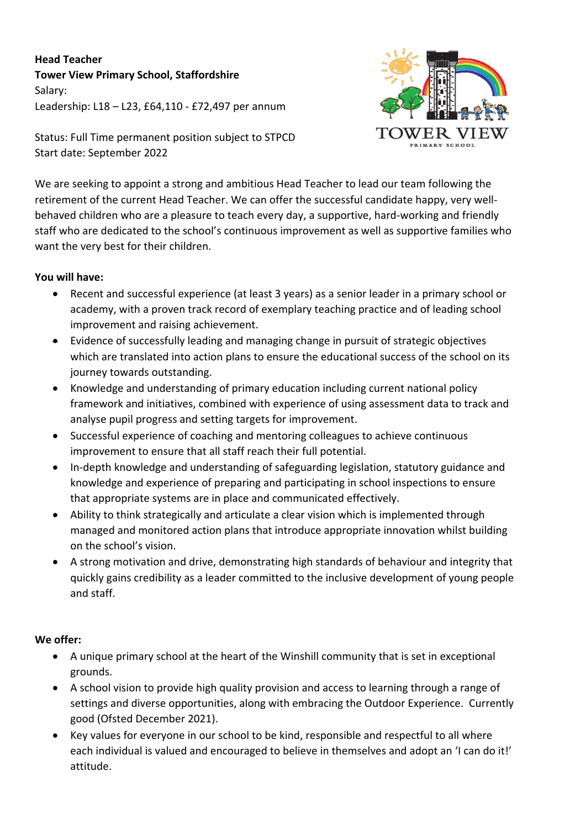**Head Teacher Tower View Primary School, Staffordshire** Salary: Leadership: L18 – L23, £64,110 - £72,497 per annum



Status: Full Time permanent position subject to STPCD Start date: September 2022

We are seeking to appoint a strong and ambitious Head Teacher to lead our team following the retirement of the current Head Teacher. We can offer the successful candidate happy, very wellbehaved children who are a pleasure to teach every day, a supportive, hard-working and friendly staff who are dedicated to the school's continuous improvement as well as supportive families who want the very best for their children.

## **You will have:**

- Recent and successful experience (at least 3 years) as a senior leader in a primary school or academy, with a proven track record of exemplary teaching practice and of leading school improvement and raising achievement.
- Evidence of successfully leading and managing change in pursuit of strategic objectives which are translated into action plans to ensure the educational success of the school on its journey towards outstanding.
- Knowledge and understanding of primary education including current national policy framework and initiatives, combined with experience of using assessment data to track and analyse pupil progress and setting targets for improvement.
- Successful experience of coaching and mentoring colleagues to achieve continuous improvement to ensure that all staff reach their full potential.
- In-depth knowledge and understanding of safeguarding legislation, statutory guidance and knowledge and experience of preparing and participating in school inspections to ensure that appropriate systems are in place and communicated effectively.
- Ability to think strategically and articulate a clear vision which is implemented through managed and monitored action plans that introduce appropriate innovation whilst building on the school's vision.
- A strong motivation and drive, demonstrating high standards of behaviour and integrity that quickly gains credibility as a leader committed to the inclusive development of young people and staff.

## **We offer:**

- A unique primary school at the heart of the Winshill community that is set in exceptional grounds.
- A school vision to provide high quality provision and access to learning through a range of settings and diverse opportunities, along with embracing the Outdoor Experience. Currently good (Ofsted December 2021).
- Key values for everyone in our school to be kind, responsible and respectful to all where each individual is valued and encouraged to believe in themselves and adopt an 'I can do it!' attitude.